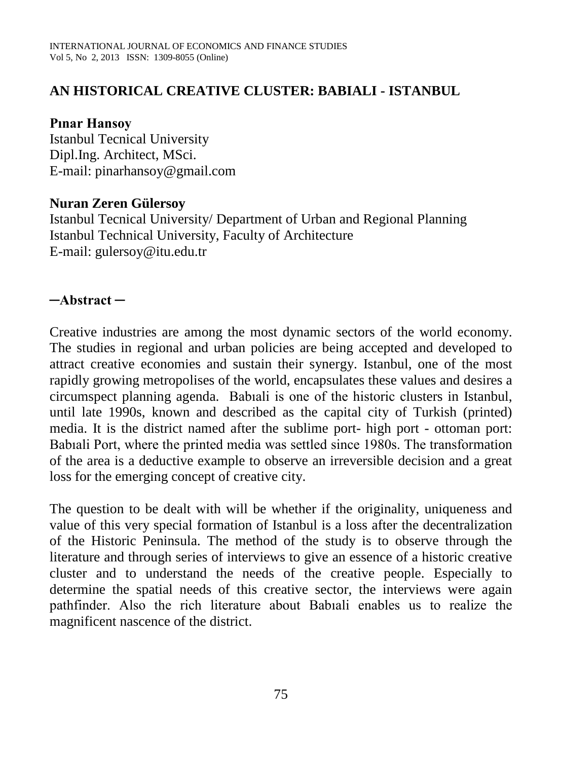## **AN HISTORICAL CREATIVE CLUSTER: BABIALI - ISTANBUL**

#### **Pınar Hansoy**

Istanbul Tecnical University Dipl.Ing. Architect, MSci. E-mail: pinarhansoy@gmail.com

#### **Nuran Zeren Gülersoy**

Istanbul Tecnical University/ Department of Urban and Regional Planning Istanbul Technical University, Faculty of Architecture E-mail: [gulersoy@itu.edu.tr](mailto:gulersoy@itu.edu.tr)

## **─Abstract ─**

Creative industries are among the most dynamic sectors of the world economy. The studies in regional and urban policies are being accepted and developed to attract creative economies and sustain their synergy. Istanbul, one of the most rapidly growing metropolises of the world, encapsulates these values and desires a circumspect planning agenda. Babıali is one of the historic clusters in Istanbul, until late 1990s, known and described as the capital city of Turkish (printed) media. It is the district named after the sublime port- high port - ottoman port: Babıali Port, where the printed media was settled since 1980s. The transformation of the area is a deductive example to observe an irreversible decision and a great loss for the emerging concept of creative city.

The question to be dealt with will be whether if the originality, uniqueness and value of this very special formation of Istanbul is a loss after the decentralization of the Historic Peninsula. The method of the study is to observe through the literature and through series of interviews to give an essence of a historic creative cluster and to understand the needs of the creative people. Especially to determine the spatial needs of this creative sector, the interviews were again pathfinder. Also the rich literature about Babıali enables us to realize the magnificent nascence of the district.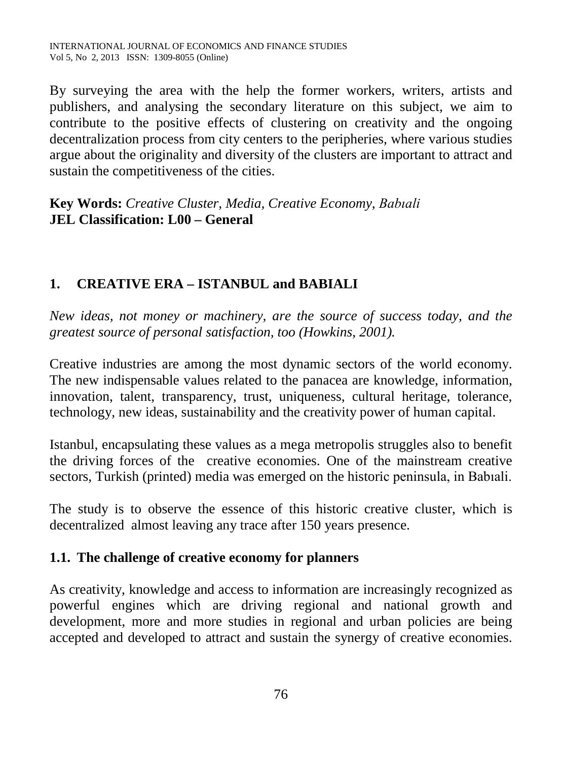By surveying the area with the help the former workers, writers, artists and publishers, and analysing the secondary literature on this subject, we aim to contribute to the positive effects of clustering on creativity and the ongoing decentralization process from city centers to the peripheries, where various studies argue about the originality and diversity of the clusters are important to attract and sustain the competitiveness of the cities.

**Key Words:** *Creative Cluster, Media, Creative Economy, Babıali*  **JEL Classification: L00 – General**

# **1. CREATIVE ERA – ISTANBUL and BABIALI**

*New ideas, not money or machinery, are the source of success today, and the greatest source of personal satisfaction, too (Howkins, 2001).*

Creative industries are among the most dynamic sectors of the world economy. The new indispensable values related to the panacea are knowledge, information, innovation, talent, transparency, trust, uniqueness, cultural heritage, tolerance, technology, new ideas, sustainability and the creativity power of human capital.

Istanbul, encapsulating these values as a mega metropolis struggles also to benefit the driving forces of the creative economies. One of the mainstream creative sectors, Turkish (printed) media was emerged on the historic peninsula, in Babıali.

The study is to observe the essence of this historic creative cluster, which is decentralized almost leaving any trace after 150 years presence.

# **1.1. The challenge of creative economy for planners**

As creativity, knowledge and access to information are increasingly recognized as powerful engines which are driving regional and national growth and development, more and more studies in regional and urban policies are being accepted and developed to attract and sustain the synergy of creative economies.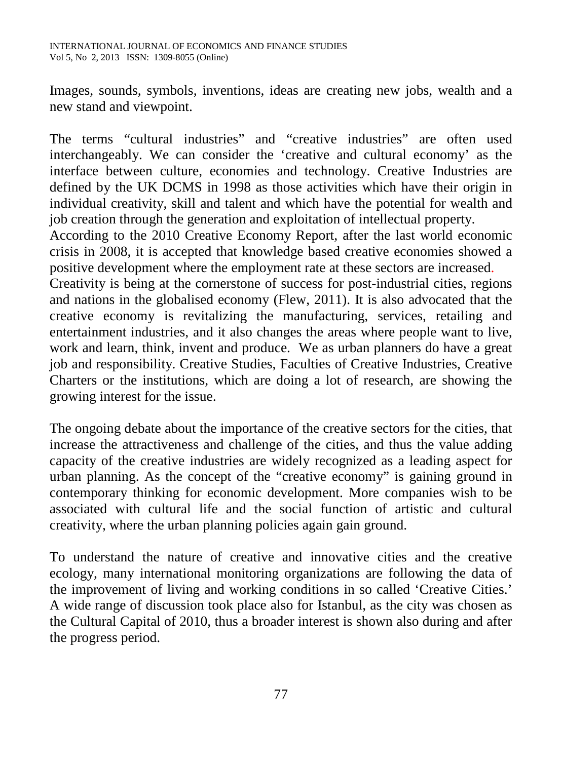Images, sounds, symbols, inventions, ideas are creating new jobs, wealth and a new stand and viewpoint.

The terms "cultural industries" and "creative industries" are often used interchangeably. We can consider the 'creative and cultural economy' as the interface between culture, economies and technology. Creative Industries are defined by the UK DCMS in 1998 as those activities which have their origin in individual creativity, skill and talent and which have the potential for wealth and job creation through the generation and exploitation of intellectual property.

According to the 2010 Creative Economy Report, after the last world economic crisis in 2008, it is accepted that knowledge based creative economies showed a positive development where the employment rate at these sectors are increased.

Creativity is being at the cornerstone of success for post-industrial cities, regions and nations in the globalised economy (Flew, 2011). It is also advocated that the creative economy is revitalizing the manufacturing, services, retailing and entertainment industries, and it also changes the areas where people want to live, work and learn, think, invent and produce. We as urban planners do have a great job and responsibility. Creative Studies, Faculties of Creative Industries, Creative Charters or the institutions, which are doing a lot of research, are showing the growing interest for the issue.

The ongoing debate about the importance of the creative sectors for the cities, that increase the attractiveness and challenge of the cities, and thus the value adding capacity of the creative industries are widely recognized as a leading aspect for urban planning. As the concept of the "creative economy" is gaining ground in contemporary thinking for economic development. More companies wish to be associated with cultural life and the social function of artistic and cultural creativity, where the urban planning policies again gain ground.

To understand the nature of creative and innovative cities and the creative ecology, many international monitoring organizations are following the data of the improvement of living and working conditions in so called 'Creative Cities.' A wide range of discussion took place also for Istanbul, as the city was chosen as the Cultural Capital of 2010, thus a broader interest is shown also during and after the progress period.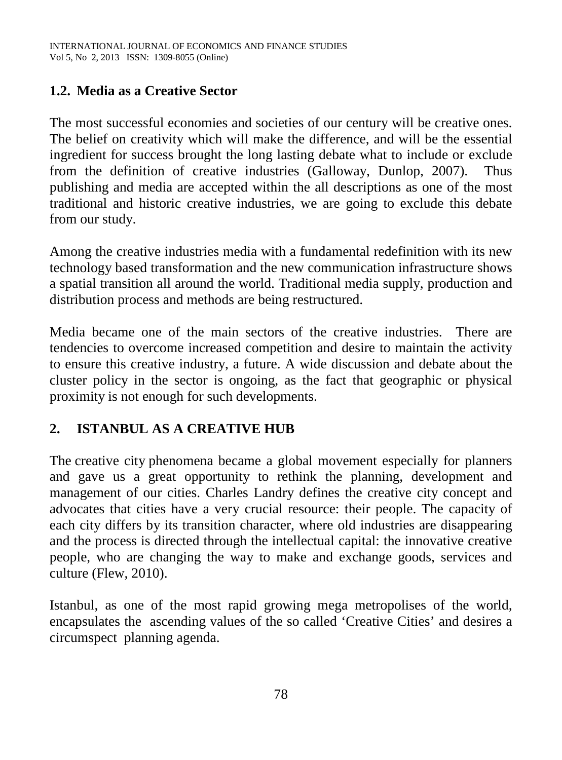# **1.2. Media as a Creative Sector**

The most successful economies and societies of our century will be creative ones. The belief on creativity which will make the difference, and will be the essential ingredient for success brought the long lasting debate what to include or exclude from the definition of creative industries (Galloway, Dunlop, 2007). Thus publishing and media are accepted within the all descriptions as one of the most traditional and historic creative industries, we are going to exclude this debate from our study.

Among the creative industries media with a fundamental redefinition with its new technology based transformation and the new communication infrastructure shows a spatial transition all around the world. Traditional media supply, production and distribution process and methods are being restructured.

Media became one of the main sectors of the creative industries. There are tendencies to overcome increased competition and desire to maintain the activity to ensure this creative industry, a future. A wide discussion and debate about the cluster policy in the sector is ongoing, as the fact that geographic or physical proximity is not enough for such developments.

# **2. ISTANBUL AS A CREATIVE HUB**

The [creative city](http://en.wikipedia.org/wiki/Creative_city) phenomena became a global movement especially for planners and gave us a great opportunity to rethink the planning, development and management of our cities. Charles Landry defines the creative city concept and advocates that cities have a very crucial resource: their people. The capacity of each city differs by its transition character, where old industries are disappearing and the process is directed through the intellectual capital: the innovative creative people, who are changing the way to make and exchange goods, services and culture (Flew, 2010).

Istanbul, as one of the most rapid growing mega metropolises of the world, encapsulates the ascending values of the so called 'Creative Cities' and desires a circumspect planning agenda.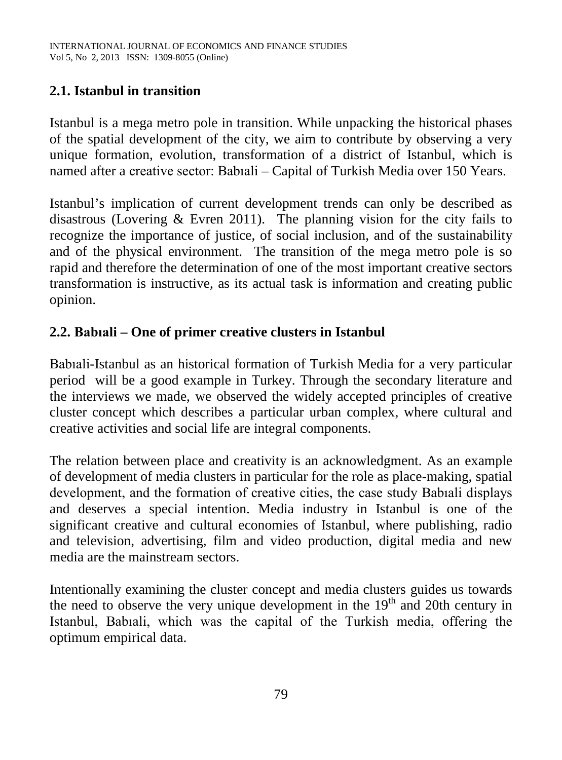# **2.1. Istanbul in transition**

Istanbul is a mega metro pole in transition. While unpacking the historical phases of the spatial development of the city, we aim to contribute by observing a very unique formation, evolution, transformation of a district of Istanbul, which is named after a creative sector: Babıali – Capital of Turkish Media over 150 Years.

Istanbul's implication of current development trends can only be described as disastrous (Lovering & Evren 2011). The planning vision for the city fails to recognize the importance of justice, of social inclusion, and of the sustainability and of the physical environment. The transition of the mega metro pole is so rapid and therefore the determination of one of the most important creative sectors transformation is instructive, as its actual task is information and creating public opinion.

# **2.2. Babıali – One of primer creative clusters in Istanbul**

Babıali-Istanbul as an historical formation of Turkish Media for a very particular period will be a good example in Turkey. Through the secondary literature and the interviews we made, we observed the widely accepted principles of creative cluster concept which describes a particular urban complex, where cultural and creative activities and social life are integral components.

The relation between place and creativity is an acknowledgment. As an example of development of media clusters in particular for the role as place-making, spatial development, and the formation of creative cities, the case study Babıali displays and deserves a special intention. Media industry in Istanbul is one of the significant creative and cultural economies of Istanbul, where publishing, radio and television, advertising, film and video production, digital media and new media are the mainstream sectors.

Intentionally examining the cluster concept and media clusters guides us towards the need to observe the very unique development in the  $19<sup>th</sup>$  and 20th century in Istanbul, Babıali, which was the capital of the Turkish media, offering the optimum empirical data.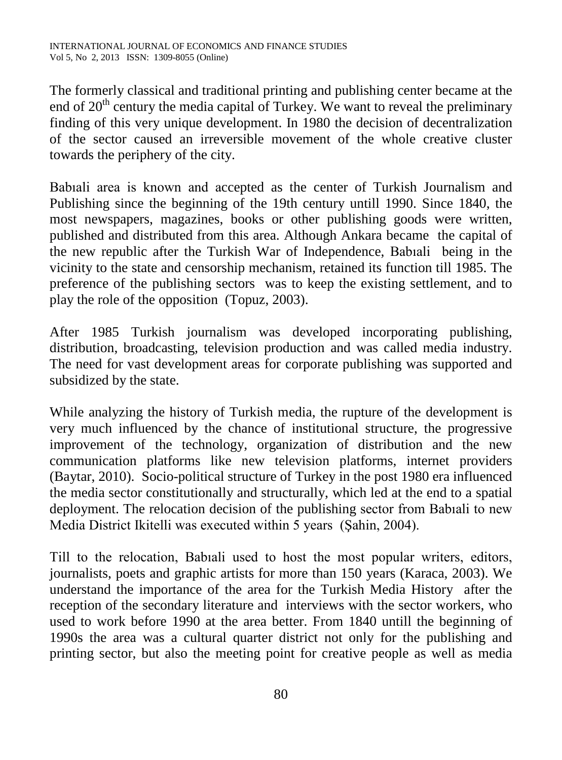The formerly classical and traditional printing and publishing center became at the end of  $20<sup>th</sup>$  century the media capital of Turkey. We want to reveal the preliminary finding of this very unique development. In 1980 the decision of decentralization of the sector caused an irreversible movement of the whole creative cluster towards the periphery of the city.

Babıali area is known and accepted as the center of Turkish Journalism and Publishing since the beginning of the 19th century untill 1990. Since 1840, the most newspapers, magazines, books or other publishing goods were written, published and distributed from this area. Although Ankara became the capital of the new republic after the Turkish War of Independence, Babıali being in the vicinity to the state and censorship mechanism, retained its function till 1985. The preference of the publishing sectors was to keep the existing settlement, and to play the role of the opposition (Topuz, 2003).

After 1985 Turkish journalism was developed incorporating publishing, distribution, broadcasting, television production and was called media industry. The need for vast development areas for corporate publishing was supported and subsidized by the state.

While analyzing the history of Turkish media, the rupture of the development is very much influenced by the chance of institutional structure, the progressive improvement of the technology, organization of distribution and the new communication platforms like new television platforms, internet providers (Baytar, 2010). Socio-political structure of Turkey in the post 1980 era influenced the media sector constitutionally and structurally, which led at the end to a spatial deployment. The relocation decision of the publishing sector from Babıali to new Media District Ikitelli was executed within 5 years (Şahin, 2004).

Till to the relocation, Babıali used to host the most popular writers, editors, journalists, poets and graphic artists for more than 150 years (Karaca, 2003). We understand the importance of the area for the Turkish Media History after the reception of the secondary literature and interviews with the sector workers, who used to work before 1990 at the area better. From 1840 untill the beginning of 1990s the area was a cultural quarter district not only for the publishing and printing sector, but also the meeting point for creative people as well as media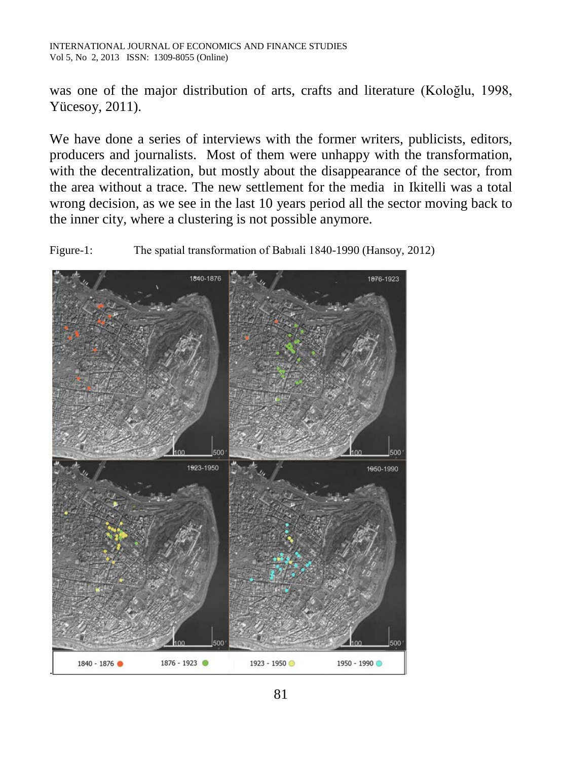was one of the major distribution of arts, crafts and literature (Koloğlu, 1998, Yücesoy, 2011).

We have done a series of interviews with the former writers, publicists, editors, producers and journalists. Most of them were unhappy with the transformation, with the decentralization, but mostly about the disappearance of the sector, from the area without a trace. The new settlement for the media in Ikitelli was a total wrong decision, as we see in the last 10 years period all the sector moving back to the inner city, where a clustering is not possible anymore.

Figure-1: The spatial transformation of Babıali 1840-1990 (Hansoy, 2012)

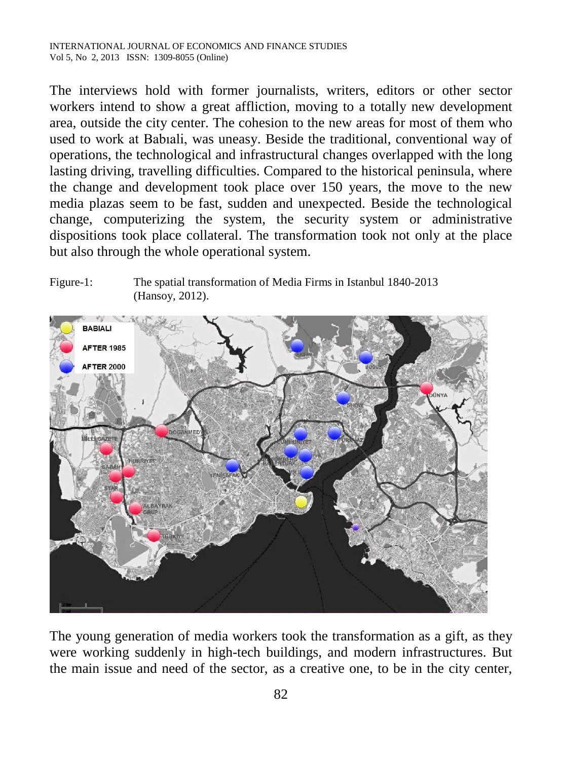The interviews hold with former journalists, writers, editors or other sector workers intend to show a great affliction, moving to a totally new development area, outside the city center. The cohesion to the new areas for most of them who used to work at Babıali, was uneasy. Beside the traditional, conventional way of operations, the technological and infrastructural changes overlapped with the long lasting driving, travelling difficulties. Compared to the historical peninsula, where the change and development took place over 150 years, the move to the new media plazas seem to be fast, sudden and unexpected. Beside the technological change, computerizing the system, the security system or administrative dispositions took place collateral. The transformation took not only at the place but also through the whole operational system.

#### Figure-1: The spatial transformation of Media Firms in Istanbul 1840-2013 (Hansoy, 2012).



The young generation of media workers took the transformation as a gift, as they were working suddenly in high-tech buildings, and modern infrastructures. But the main issue and need of the sector, as a creative one, to be in the city center,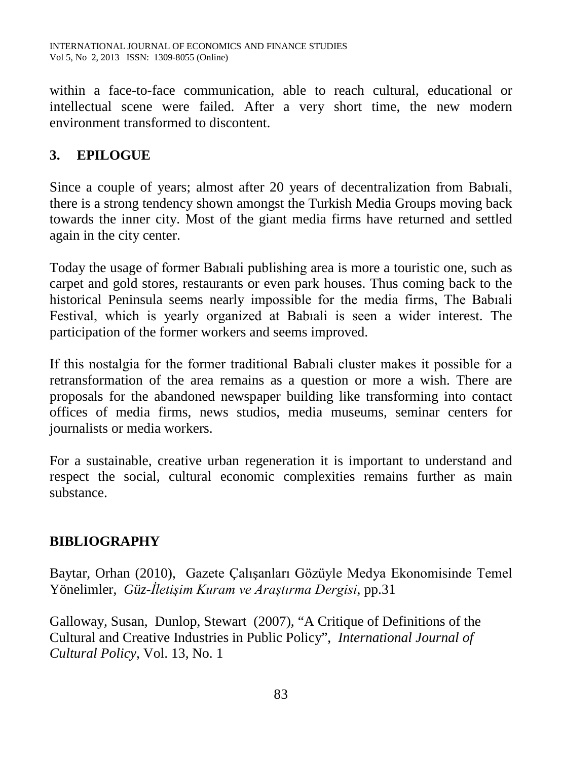within a face-to-face communication, able to reach cultural, educational or intellectual scene were failed. After a very short time, the new modern environment transformed to discontent.

## **3. EPILOGUE**

Since a couple of years; almost after 20 years of decentralization from Babıali, there is a strong tendency shown amongst the Turkish Media Groups moving back towards the inner city. Most of the giant media firms have returned and settled again in the city center.

Today the usage of former Babıali publishing area is more a touristic one, such as carpet and gold stores, restaurants or even park houses. Thus coming back to the historical Peninsula seems nearly impossible for the media firms, The Babıali Festival, which is yearly organized at Babıali is seen a wider interest. The participation of the former workers and seems improved.

If this nostalgia for the former traditional Babıali cluster makes it possible for a retransformation of the area remains as a question or more a wish. There are proposals for the abandoned newspaper building like transforming into contact offices of media firms, news studios, media museums, seminar centers for journalists or media workers.

For a sustainable, creative urban regeneration it is important to understand and respect the social, cultural economic complexities remains further as main substance.

## **BIBLIOGRAPHY**

Baytar, Orhan (2010), Gazete Çalışanları Gözüyle Medya Ekonomisinde Temel Yönelimler, *Güz-İletişim Kuram ve Araştırma Dergisi*, pp.31

Galloway, Susan, Dunlop, Stewart (2007), "A Critique of Definitions of the Cultural and Creative Industries in Public Policy", *International Journal of Cultural Policy,* Vol. 13, No. 1